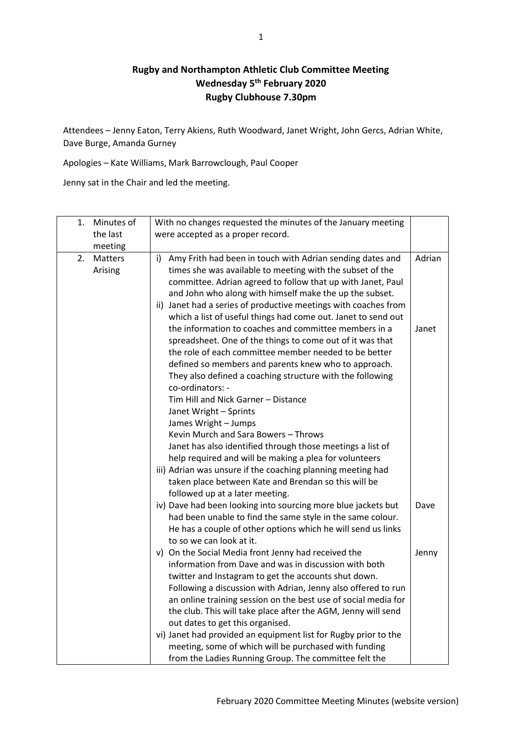## **Rugby and Northampton Athletic Club Committee Meeting Wednesday 5th February 2020 Rugby Clubhouse 7.30pm**

Attendees – Jenny Eaton, Terry Akiens, Ruth Woodward, Janet Wright, John Gercs, Adrian White, Dave Burge, Amanda Gurney

Apologies – Kate Williams, Mark Barrowclough, Paul Cooper

Jenny sat in the Chair and led the meeting.

| 1. | Minutes of         | With no changes requested the minutes of the January meeting                                                                                                                                                                                                                                                                                                                                                                 |        |
|----|--------------------|------------------------------------------------------------------------------------------------------------------------------------------------------------------------------------------------------------------------------------------------------------------------------------------------------------------------------------------------------------------------------------------------------------------------------|--------|
|    | the last           | were accepted as a proper record.                                                                                                                                                                                                                                                                                                                                                                                            |        |
|    | meeting            |                                                                                                                                                                                                                                                                                                                                                                                                                              |        |
| 2. | Matters<br>Arising | Amy Frith had been in touch with Adrian sending dates and<br>i)<br>times she was available to meeting with the subset of the<br>committee. Adrian agreed to follow that up with Janet, Paul<br>and John who along with himself make the up the subset.                                                                                                                                                                       | Adrian |
|    |                    | ii) Janet had a series of productive meetings with coaches from                                                                                                                                                                                                                                                                                                                                                              |        |
|    |                    | which a list of useful things had come out. Janet to send out<br>the information to coaches and committee members in a<br>spreadsheet. One of the things to come out of it was that<br>the role of each committee member needed to be better<br>defined so members and parents knew who to approach.<br>They also defined a coaching structure with the following<br>co-ordinators: -<br>Tim Hill and Nick Garner - Distance | Janet  |
|    |                    | Janet Wright - Sprints                                                                                                                                                                                                                                                                                                                                                                                                       |        |
|    |                    | James Wright - Jumps                                                                                                                                                                                                                                                                                                                                                                                                         |        |
|    |                    | Kevin Murch and Sara Bowers - Throws                                                                                                                                                                                                                                                                                                                                                                                         |        |
|    |                    | Janet has also identified through those meetings a list of                                                                                                                                                                                                                                                                                                                                                                   |        |
|    |                    | help required and will be making a plea for volunteers                                                                                                                                                                                                                                                                                                                                                                       |        |
|    |                    | iii) Adrian was unsure if the coaching planning meeting had                                                                                                                                                                                                                                                                                                                                                                  |        |
|    |                    | taken place between Kate and Brendan so this will be                                                                                                                                                                                                                                                                                                                                                                         |        |
|    |                    | followed up at a later meeting.                                                                                                                                                                                                                                                                                                                                                                                              |        |
|    |                    | iv) Dave had been looking into sourcing more blue jackets but<br>had been unable to find the same style in the same colour.<br>He has a couple of other options which he will send us links<br>to so we can look at it.                                                                                                                                                                                                      | Dave   |
|    |                    | v) On the Social Media front Jenny had received the<br>information from Dave and was in discussion with both<br>twitter and Instagram to get the accounts shut down.<br>Following a discussion with Adrian, Jenny also offered to run<br>an online training session on the best use of social media for<br>the club. This will take place after the AGM, Jenny will send                                                     | Jenny  |
|    |                    | out dates to get this organised.                                                                                                                                                                                                                                                                                                                                                                                             |        |
|    |                    | vi) Janet had provided an equipment list for Rugby prior to the                                                                                                                                                                                                                                                                                                                                                              |        |
|    |                    | meeting, some of which will be purchased with funding                                                                                                                                                                                                                                                                                                                                                                        |        |
|    |                    | from the Ladies Running Group. The committee felt the                                                                                                                                                                                                                                                                                                                                                                        |        |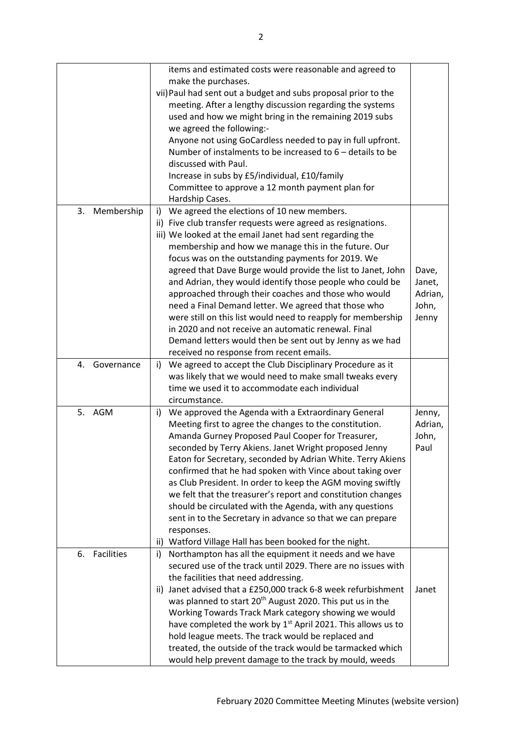|                         | items and estimated costs were reasonable and agreed to                  |         |
|-------------------------|--------------------------------------------------------------------------|---------|
|                         | make the purchases.                                                      |         |
|                         | vii) Paul had sent out a budget and subs proposal prior to the           |         |
|                         | meeting. After a lengthy discussion regarding the systems                |         |
|                         | used and how we might bring in the remaining 2019 subs                   |         |
|                         | we agreed the following:-                                                |         |
|                         | Anyone not using GoCardless needed to pay in full upfront.               |         |
|                         |                                                                          |         |
|                         | Number of instalments to be increased to $6$ – details to be             |         |
|                         | discussed with Paul.                                                     |         |
|                         | Increase in subs by £5/individual, £10/family                            |         |
|                         | Committee to approve a 12 month payment plan for                         |         |
|                         | Hardship Cases.                                                          |         |
| Membership<br>3.        | We agreed the elections of 10 new members.<br>i)                         |         |
|                         | ii) Five club transfer requests were agreed as resignations.             |         |
|                         | iii) We looked at the email Janet had sent regarding the                 |         |
|                         | membership and how we manage this in the future. Our                     |         |
|                         | focus was on the outstanding payments for 2019. We                       |         |
|                         | agreed that Dave Burge would provide the list to Janet, John             | Dave,   |
|                         | and Adrian, they would identify those people who could be                | Janet,  |
|                         | approached through their coaches and those who would                     | Adrian, |
|                         | need a Final Demand letter. We agreed that those who                     | John,   |
|                         | were still on this list would need to reapply for membership             | Jenny   |
|                         | in 2020 and not receive an automatic renewal. Final                      |         |
|                         | Demand letters would then be sent out by Jenny as we had                 |         |
|                         | received no response from recent emails.                                 |         |
| Governance<br>4.        | i) We agreed to accept the Club Disciplinary Procedure as it             |         |
|                         | was likely that we would need to make small tweaks every                 |         |
|                         | time we used it to accommodate each individual                           |         |
|                         | circumstance.                                                            |         |
| 5. AGM                  |                                                                          | Jenny,  |
|                         | We approved the Agenda with a Extraordinary General<br>i)                | Adrian, |
|                         | Meeting first to agree the changes to the constitution.                  |         |
|                         | Amanda Gurney Proposed Paul Cooper for Treasurer,                        | John,   |
|                         | seconded by Terry Akiens. Janet Wright proposed Jenny                    | Paul    |
|                         | Eaton for Secretary, seconded by Adrian White. Terry Akiens              |         |
|                         | confirmed that he had spoken with Vince about taking over                |         |
|                         | as Club President. In order to keep the AGM moving swiftly               |         |
|                         | we felt that the treasurer's report and constitution changes             |         |
|                         | should be circulated with the Agenda, with any questions                 |         |
|                         | sent in to the Secretary in advance so that we can prepare               |         |
|                         | responses.                                                               |         |
|                         | Watford Village Hall has been booked for the night.<br>ii)               |         |
| <b>Facilities</b><br>6. | Northampton has all the equipment it needs and we have<br>i)             |         |
|                         | secured use of the track until 2029. There are no issues with            |         |
|                         | the facilities that need addressing.                                     |         |
|                         | Janet advised that a £250,000 track 6-8 week refurbishment<br>ii)        | Janet   |
|                         | was planned to start 20 <sup>th</sup> August 2020. This put us in the    |         |
|                         | Working Towards Track Mark category showing we would                     |         |
|                         | have completed the work by 1 <sup>st</sup> April 2021. This allows us to |         |
|                         | hold league meets. The track would be replaced and                       |         |
|                         | treated, the outside of the track would be tarmacked which               |         |
|                         |                                                                          |         |
|                         | would help prevent damage to the track by mould, weeds                   |         |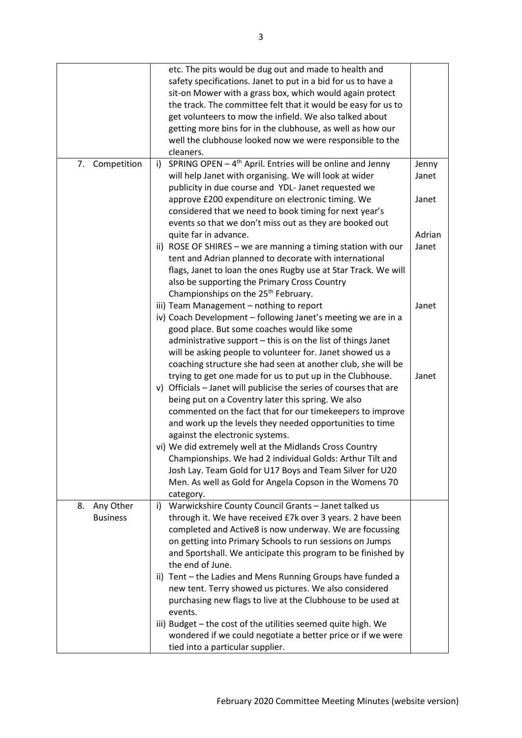|                   | etc. The pits would be dug out and made to health and<br>safety specifications. Janet to put in a bid for us to have a<br>sit-on Mower with a grass box, which would again protect<br>the track. The committee felt that it would be easy for us to |                |
|-------------------|-----------------------------------------------------------------------------------------------------------------------------------------------------------------------------------------------------------------------------------------------------|----------------|
|                   | get volunteers to mow the infield. We also talked about<br>getting more bins for in the clubhouse, as well as how our<br>well the clubhouse looked now we were responsible to the<br>cleaners.                                                      |                |
| Competition<br>7. | SPRING OPEN $-4$ <sup>th</sup> April. Entries will be online and Jenny<br>i)<br>will help Janet with organising. We will look at wider<br>publicity in due course and YDL- Janet requested we                                                       | Jenny<br>Janet |
|                   | approve £200 expenditure on electronic timing. We<br>considered that we need to book timing for next year's<br>events so that we don't miss out as they are booked out                                                                              | Janet          |
|                   | quite far in advance.                                                                                                                                                                                                                               | Adrian         |
|                   | ii) ROSE OF SHIRES - we are manning a timing station with our                                                                                                                                                                                       | Janet          |
|                   | tent and Adrian planned to decorate with international                                                                                                                                                                                              |                |
|                   | flags, Janet to loan the ones Rugby use at Star Track. We will<br>also be supporting the Primary Cross Country                                                                                                                                      |                |
|                   | Championships on the 25 <sup>th</sup> February.<br>iii) Team Management - nothing to report                                                                                                                                                         | Janet          |
|                   | iv) Coach Development - following Janet's meeting we are in a                                                                                                                                                                                       |                |
|                   | good place. But some coaches would like some                                                                                                                                                                                                        |                |
|                   | administrative support - this is on the list of things Janet                                                                                                                                                                                        |                |
|                   | will be asking people to volunteer for. Janet showed us a                                                                                                                                                                                           |                |
|                   | coaching structure she had seen at another club, she will be                                                                                                                                                                                        |                |
|                   | trying to get one made for us to put up in the Clubhouse.                                                                                                                                                                                           | Janet          |
|                   | v) Officials - Janet will publicise the series of courses that are                                                                                                                                                                                  |                |
|                   | being put on a Coventry later this spring. We also                                                                                                                                                                                                  |                |
|                   | commented on the fact that for our timekeepers to improve<br>and work up the levels they needed opportunities to time                                                                                                                               |                |
|                   | against the electronic systems.                                                                                                                                                                                                                     |                |
|                   | vi) We did extremely well at the Midlands Cross Country                                                                                                                                                                                             |                |
|                   | Championships. We had 2 individual Golds: Arthur Tilt and                                                                                                                                                                                           |                |
|                   | Josh Lay. Team Gold for U17 Boys and Team Silver for U20                                                                                                                                                                                            |                |
|                   | Men. As well as Gold for Angela Copson in the Womens 70                                                                                                                                                                                             |                |
|                   | category.                                                                                                                                                                                                                                           |                |
| Any Other<br>8.   | Warwickshire County Council Grants - Janet talked us<br>i)                                                                                                                                                                                          |                |
| <b>Business</b>   | through it. We have received £7k over 3 years. 2 have been                                                                                                                                                                                          |                |
|                   | completed and Active8 is now underway. We are focussing                                                                                                                                                                                             |                |
|                   | on getting into Primary Schools to run sessions on Jumps                                                                                                                                                                                            |                |
|                   | and Sportshall. We anticipate this program to be finished by<br>the end of June.                                                                                                                                                                    |                |
|                   | ii) Tent - the Ladies and Mens Running Groups have funded a                                                                                                                                                                                         |                |
|                   | new tent. Terry showed us pictures. We also considered                                                                                                                                                                                              |                |
|                   | purchasing new flags to live at the Clubhouse to be used at                                                                                                                                                                                         |                |
|                   | events.                                                                                                                                                                                                                                             |                |
|                   | iii) Budget - the cost of the utilities seemed quite high. We                                                                                                                                                                                       |                |
|                   | wondered if we could negotiate a better price or if we were<br>tied into a particular supplier.                                                                                                                                                     |                |